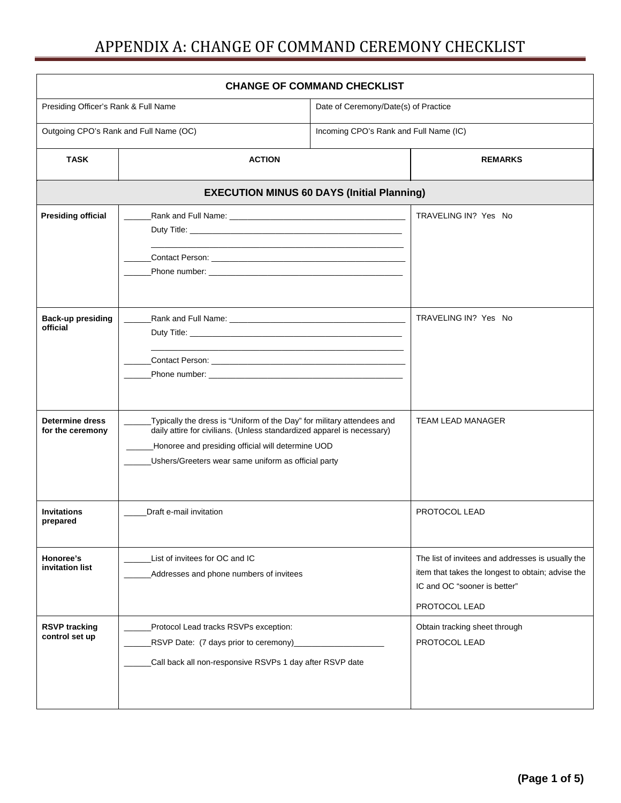| <b>CHANGE OF COMMAND CHECKLIST</b>         |                                                                                                                                                                                                                                                              |                                        |                                                                                                                                                         |  |  |
|--------------------------------------------|--------------------------------------------------------------------------------------------------------------------------------------------------------------------------------------------------------------------------------------------------------------|----------------------------------------|---------------------------------------------------------------------------------------------------------------------------------------------------------|--|--|
| Presiding Officer's Rank & Full Name       |                                                                                                                                                                                                                                                              | Date of Ceremony/Date(s) of Practice   |                                                                                                                                                         |  |  |
| Outgoing CPO's Rank and Full Name (OC)     |                                                                                                                                                                                                                                                              | Incoming CPO's Rank and Full Name (IC) |                                                                                                                                                         |  |  |
| <b>TASK</b>                                | <b>ACTION</b>                                                                                                                                                                                                                                                |                                        | <b>REMARKS</b>                                                                                                                                          |  |  |
|                                            | <b>EXECUTION MINUS 60 DAYS (Initial Planning)</b>                                                                                                                                                                                                            |                                        |                                                                                                                                                         |  |  |
| <b>Presiding official</b>                  |                                                                                                                                                                                                                                                              |                                        | TRAVELING IN? Yes No                                                                                                                                    |  |  |
|                                            | Contact Person: New York Contact Person:                                                                                                                                                                                                                     |                                        |                                                                                                                                                         |  |  |
| <b>Back-up presiding</b><br>official       |                                                                                                                                                                                                                                                              |                                        | TRAVELING IN? Yes No                                                                                                                                    |  |  |
| <b>Determine dress</b><br>for the ceremony | Typically the dress is "Uniform of the Day" for military attendees and<br>daily attire for civilians. (Unless standardized apparel is necessary)<br>Honoree and presiding official will determine UOD<br>Ushers/Greeters wear same uniform as official party |                                        | <b>TEAM LEAD MANAGER</b>                                                                                                                                |  |  |
| <b>Invitations</b><br>prepared             | Draft e-mail invitation                                                                                                                                                                                                                                      |                                        | PROTOCOL LEAD                                                                                                                                           |  |  |
| Honoree's<br>invitation list               | List of invitees for OC and IC<br>Addresses and phone numbers of invitees                                                                                                                                                                                    |                                        | The list of invitees and addresses is usually the<br>item that takes the longest to obtain; advise the<br>IC and OC "sooner is better"<br>PROTOCOL LEAD |  |  |
| <b>RSVP tracking</b><br>control set up     | Protocol Lead tracks RSVPs exception:<br>RSVP Date: (7 days prior to ceremony)<br>Call back all non-responsive RSVPs 1 day after RSVP date                                                                                                                   |                                        | Obtain tracking sheet through<br>PROTOCOL LEAD                                                                                                          |  |  |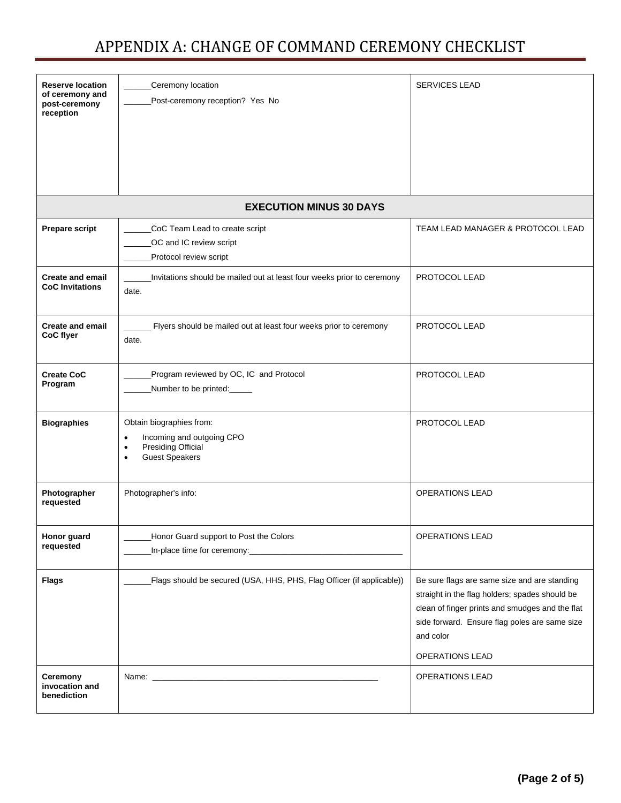| <b>Reserve location</b><br>of ceremony and<br>post-ceremony<br>reception | Ceremony location<br>Post-ceremony reception? Yes No                                                                                               | <b>SERVICES LEAD</b>                                                                                                                                                                                                                      |
|--------------------------------------------------------------------------|----------------------------------------------------------------------------------------------------------------------------------------------------|-------------------------------------------------------------------------------------------------------------------------------------------------------------------------------------------------------------------------------------------|
|                                                                          | <b>EXECUTION MINUS 30 DAYS</b>                                                                                                                     |                                                                                                                                                                                                                                           |
| <b>Prepare script</b>                                                    | CoC Team Lead to create script<br>OC and IC review script<br>Protocol review script                                                                | TEAM LEAD MANAGER & PROTOCOL LEAD                                                                                                                                                                                                         |
| <b>Create and email</b><br><b>CoC</b> Invitations                        | Invitations should be mailed out at least four weeks prior to ceremony<br>date.                                                                    | PROTOCOL LEAD                                                                                                                                                                                                                             |
| <b>Create and email</b><br>CoC flyer                                     | Flyers should be mailed out at least four weeks prior to ceremony<br>date.                                                                         | PROTOCOL LEAD                                                                                                                                                                                                                             |
| <b>Create CoC</b><br>Program                                             | Program reviewed by OC, IC and Protocol<br>Number to be printed:                                                                                   | PROTOCOL LEAD                                                                                                                                                                                                                             |
| <b>Biographies</b>                                                       | Obtain biographies from:<br>Incoming and outgoing CPO<br>$\bullet$<br><b>Presiding Official</b><br>$\bullet$<br><b>Guest Speakers</b><br>$\bullet$ | PROTOCOL LEAD                                                                                                                                                                                                                             |
| Photographer<br>requested                                                | Photographer's info:                                                                                                                               | <b>OPERATIONS LEAD</b>                                                                                                                                                                                                                    |
| Honor guard<br>requested                                                 | Honor Guard support to Post the Colors                                                                                                             | <b>OPERATIONS LEAD</b>                                                                                                                                                                                                                    |
| <b>Flags</b>                                                             | Flags should be secured (USA, HHS, PHS, Flag Officer (if applicable))                                                                              | Be sure flags are same size and are standing<br>straight in the flag holders; spades should be<br>clean of finger prints and smudges and the flat<br>side forward. Ensure flag poles are same size<br>and color<br><b>OPERATIONS LEAD</b> |
| Ceremony<br>invocation and<br>benediction                                |                                                                                                                                                    | <b>OPERATIONS LEAD</b>                                                                                                                                                                                                                    |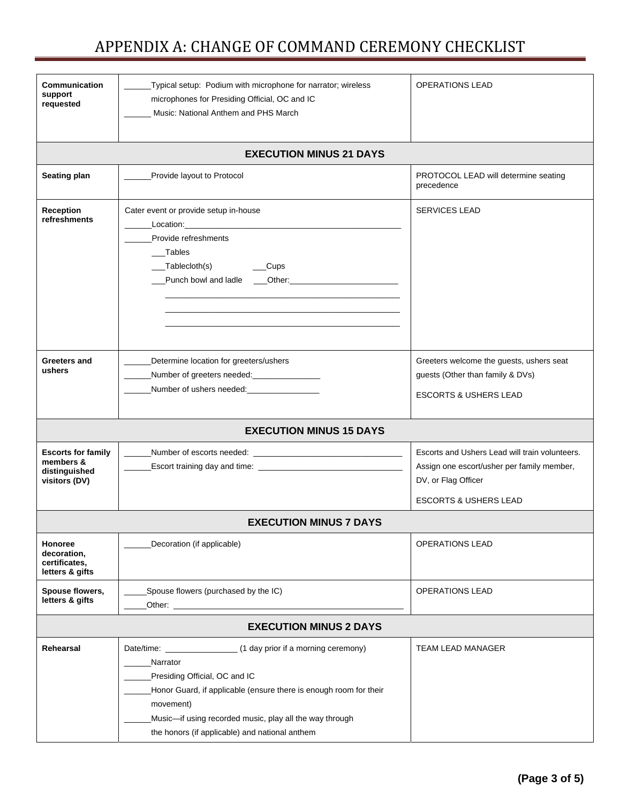| <b>Communication</b><br>support<br>requested                             | Typical setup: Podium with microphone for narrator; wireless<br>microphones for Presiding Official, OC and IC<br>Music: National Anthem and PHS March                                                                                                                               | <b>OPERATIONS LEAD</b>                                                                                                                                  |  |  |
|--------------------------------------------------------------------------|-------------------------------------------------------------------------------------------------------------------------------------------------------------------------------------------------------------------------------------------------------------------------------------|---------------------------------------------------------------------------------------------------------------------------------------------------------|--|--|
|                                                                          | <b>EXECUTION MINUS 21 DAYS</b>                                                                                                                                                                                                                                                      |                                                                                                                                                         |  |  |
| Seating plan                                                             | Provide layout to Protocol                                                                                                                                                                                                                                                          | PROTOCOL LEAD will determine seating<br>precedence                                                                                                      |  |  |
| Reception<br>refreshments                                                | Cater event or provide setup in-house<br>Location: New York Product of the Contract of the Contract of the Contract of the Contract of the Contract of<br>Provide refreshments<br>Tables<br>___Tablecloth(s)<br>_Cups<br>Punch bowl and ladle ____Other:___________________________ | <b>SERVICES LEAD</b>                                                                                                                                    |  |  |
| Greeters and<br>ushers                                                   | Determine location for greeters/ushers<br>Number of greeters needed: _________________                                                                                                                                                                                              | Greeters welcome the guests, ushers seat<br>guests (Other than family & DVs)<br><b>ESCORTS &amp; USHERS LEAD</b>                                        |  |  |
| <b>EXECUTION MINUS 15 DAYS</b>                                           |                                                                                                                                                                                                                                                                                     |                                                                                                                                                         |  |  |
| <b>Escorts for family</b><br>members &<br>distinguished<br>visitors (DV) |                                                                                                                                                                                                                                                                                     | Escorts and Ushers Lead will train volunteers.<br>Assign one escort/usher per family member,<br>DV, or Flag Officer<br><b>ESCORTS &amp; USHERS LEAD</b> |  |  |
| <b>EXECUTION MINUS 7 DAYS</b>                                            |                                                                                                                                                                                                                                                                                     |                                                                                                                                                         |  |  |
| <b>Honoree</b><br>decoration,<br>certificates,<br>letters & gifts        | Decoration (if applicable)                                                                                                                                                                                                                                                          | <b>OPERATIONS LEAD</b>                                                                                                                                  |  |  |
| Spouse flowers,<br>letters & gifts                                       | Spouse flowers (purchased by the IC)                                                                                                                                                                                                                                                | <b>OPERATIONS LEAD</b>                                                                                                                                  |  |  |
| <b>EXECUTION MINUS 2 DAYS</b>                                            |                                                                                                                                                                                                                                                                                     |                                                                                                                                                         |  |  |
| Rehearsal                                                                | Narrator<br>Presiding Official, OC and IC<br>Honor Guard, if applicable (ensure there is enough room for their<br>movement)<br>Music-if using recorded music, play all the way through<br>the honors (if applicable) and national anthem                                            | <b>TEAM LEAD MANAGER</b>                                                                                                                                |  |  |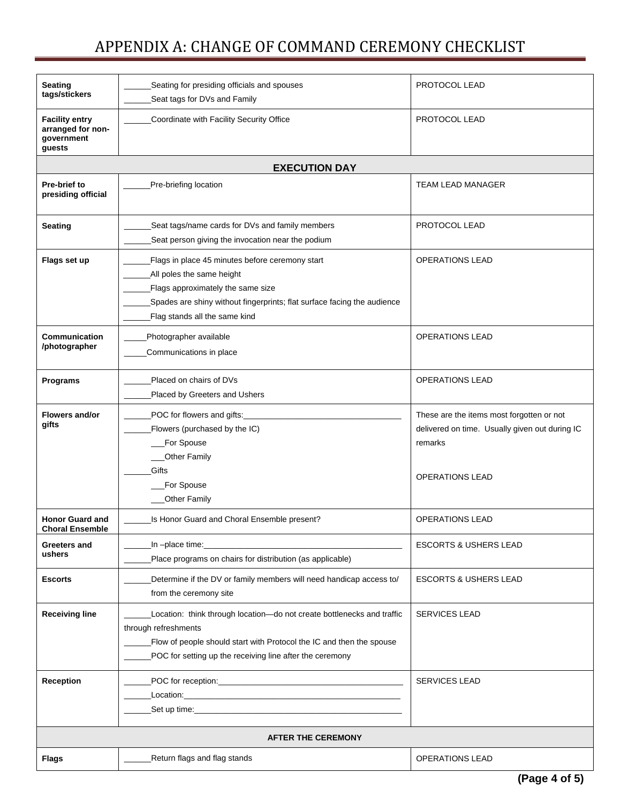| Seating<br>tags/stickers                                           | Seating for presiding officials and spouses<br>Seat tags for DVs and Family                                                                                                                                                        | PROTOCOL LEAD                                                                                                                    |  |  |  |
|--------------------------------------------------------------------|------------------------------------------------------------------------------------------------------------------------------------------------------------------------------------------------------------------------------------|----------------------------------------------------------------------------------------------------------------------------------|--|--|--|
| <b>Facility entry</b><br>arranged for non-<br>qovernment<br>guests | Coordinate with Facility Security Office                                                                                                                                                                                           | PROTOCOL LEAD                                                                                                                    |  |  |  |
|                                                                    | <b>EXECUTION DAY</b>                                                                                                                                                                                                               |                                                                                                                                  |  |  |  |
| Pre-brief to<br>presiding official                                 | Pre-briefing location                                                                                                                                                                                                              | <b>TEAM LEAD MANAGER</b>                                                                                                         |  |  |  |
| <b>Seating</b>                                                     | Seat tags/name cards for DVs and family members<br>Seat person giving the invocation near the podium                                                                                                                               | PROTOCOL LEAD                                                                                                                    |  |  |  |
| Flags set up                                                       | Flags in place 45 minutes before ceremony start<br>All poles the same height<br>Flags approximately the same size<br>Spades are shiny without fingerprints; flat surface facing the audience<br>Flag stands all the same kind      | <b>OPERATIONS LEAD</b>                                                                                                           |  |  |  |
| Communication<br>/photographer                                     | Photographer available<br>Communications in place                                                                                                                                                                                  | <b>OPERATIONS LEAD</b>                                                                                                           |  |  |  |
| <b>Programs</b>                                                    | Placed on chairs of DVs<br>Placed by Greeters and Ushers                                                                                                                                                                           | <b>OPERATIONS LEAD</b>                                                                                                           |  |  |  |
| Flowers and/or<br>gifts                                            | POC for flowers and gifts:<br>Flowers (purchased by the IC)<br>For Spouse<br><b>Other Family</b><br>Gifts<br>For Spouse                                                                                                            | These are the items most forgotten or not<br>delivered on time. Usually given out during IC<br>remarks<br><b>OPERATIONS LEAD</b> |  |  |  |
|                                                                    | <b>Other Family</b>                                                                                                                                                                                                                |                                                                                                                                  |  |  |  |
| <b>Honor Guard and</b><br><b>Choral Ensemble</b>                   | Is Honor Guard and Choral Ensemble present?                                                                                                                                                                                        | <b>OPERATIONS LEAD</b>                                                                                                           |  |  |  |
| Greeters and<br>ushers                                             | _In -place time:<br>Place programs on chairs for distribution (as applicable)                                                                                                                                                      | <b>ESCORTS &amp; USHERS LEAD</b>                                                                                                 |  |  |  |
| <b>Escorts</b>                                                     | Determine if the DV or family members will need handicap access to/<br>from the ceremony site                                                                                                                                      | <b>ESCORTS &amp; USHERS LEAD</b>                                                                                                 |  |  |  |
| <b>Receiving line</b>                                              | Location: think through location-do not create bottlenecks and traffic<br>through refreshments<br>Flow of people should start with Protocol the IC and then the spouse<br>POC for setting up the receiving line after the ceremony | <b>SERVICES LEAD</b>                                                                                                             |  |  |  |
| <b>Reception</b>                                                   |                                                                                                                                                                                                                                    | <b>SERVICES LEAD</b>                                                                                                             |  |  |  |
| <b>AFTER THE CEREMONY</b>                                          |                                                                                                                                                                                                                                    |                                                                                                                                  |  |  |  |
| <b>Flags</b>                                                       | Return flags and flag stands                                                                                                                                                                                                       | <b>OPERATIONS LEAD</b>                                                                                                           |  |  |  |
|                                                                    |                                                                                                                                                                                                                                    |                                                                                                                                  |  |  |  |